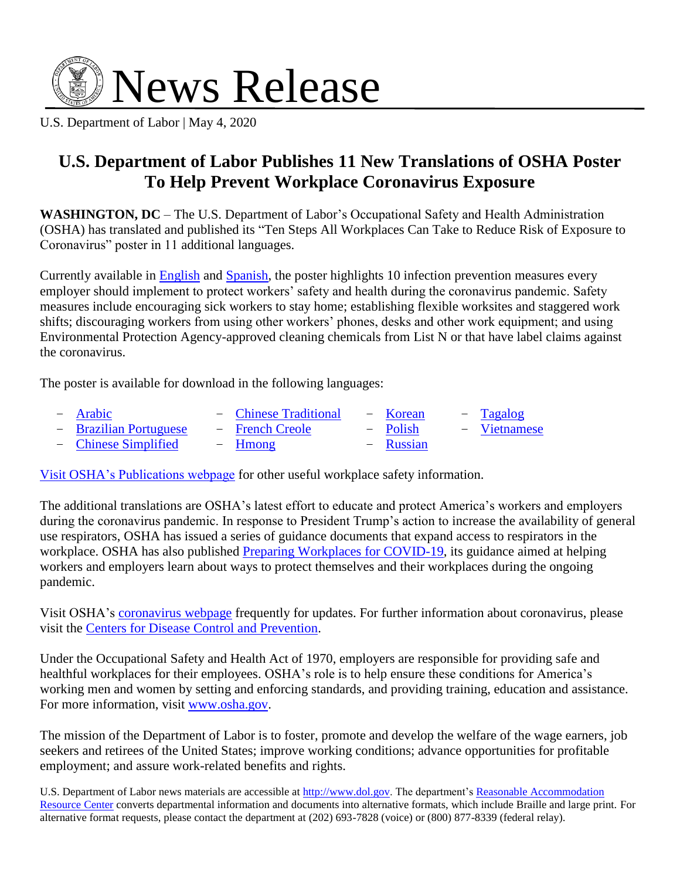

U.S. Department of Labor | May 4, 2020

## **U.S. Department of Labor Publishes 11 New Translations of OSHA Poster To Help Prevent Workplace Coronavirus Exposure**

**WASHINGTON, DC** – The U.S. Department of Labor's Occupational Safety and Health Administration (OSHA) has translated and published its "Ten Steps All Workplaces Can Take to Reduce Risk of Exposure to Coronavirus" poster in 11 additional languages.

Currently available in [English](https://www.osha.gov/Publications/OSHA3994.pdf) and [Spanish,](https://www.osha.gov/Publications/OSHA3995.pdf) the poster highlights 10 infection prevention measures every employer should implement to protect workers' safety and health during the coronavirus pandemic. Safety measures include encouraging sick workers to stay home; establishing flexible worksites and staggered work shifts; discouraging workers from using other workers' phones, desks and other work equipment; and using Environmental Protection Agency-approved cleaning chemicals from List N or that have label claims against the coronavirus.

The poster is available for download in the following languages:

| - Arabic               | - Chinese Traditional | - Korean  | - Tagalog    |
|------------------------|-----------------------|-----------|--------------|
| - Brazilian Portuguese | - French Creole       | – Polish  | – Vietnamese |
| - Chinese Simplified   | – Hmong               | - Russian |              |

[Visit OSHA's Publications webpage](https://www.osha.gov/pls/publications/publication.html) for other useful workplace safety information.

The additional translations are OSHA's latest effort to educate and protect America's workers and employers during the coronavirus pandemic. In response to President Trump's action to increase the availability of general use respirators, OSHA has issued a series of guidance documents that expand access to respirators in the workplace. OSHA has also published [Preparing Workplaces for COVID-19,](https://www.osha.gov/Publications/OSHA3990.pdf) its guidance aimed at helping workers and employers learn about ways to protect themselves and their workplaces during the ongoing pandemic.

Visit OSHA's [coronavirus](https://www.osha.gov/SLTC/covid-19/) webpage frequently for updates. For further information about coronavirus, please visit the [Centers for Disease Control and Prevention.](https://www.cdc.gov/coronavirus/2019-ncov/)

Under the Occupational Safety and Health Act of 1970, employers are responsible for providing safe and healthful workplaces for their employees. OSHA's role is to help ensure these conditions for America's working men and women by setting and enforcing standards, and providing training, education and assistance. For more information, visit [www.osha.gov.](http://www.osha.gov/)

The mission of the Department of Labor is to foster, promote and develop the welfare of the wage earners, job seekers and retirees of the United States; improve working conditions; advance opportunities for profitable employment; and assure work-related benefits and rights.

U.S. Department of Labor news materials are accessible at [http://www.dol.gov.](http://www.dol.gov/) The department's Reasonable Accommodation [Resource Center](https://www.dol.gov/agencies/oasam/civil-rights-center/internal/reasonable-accomodations-resource-center) converts departmental information and documents into alternative formats, which include Braille and large print. For alternative format requests, please contact the department at (202) 693-7828 (voice) or (800) 877-8339 (federal relay).